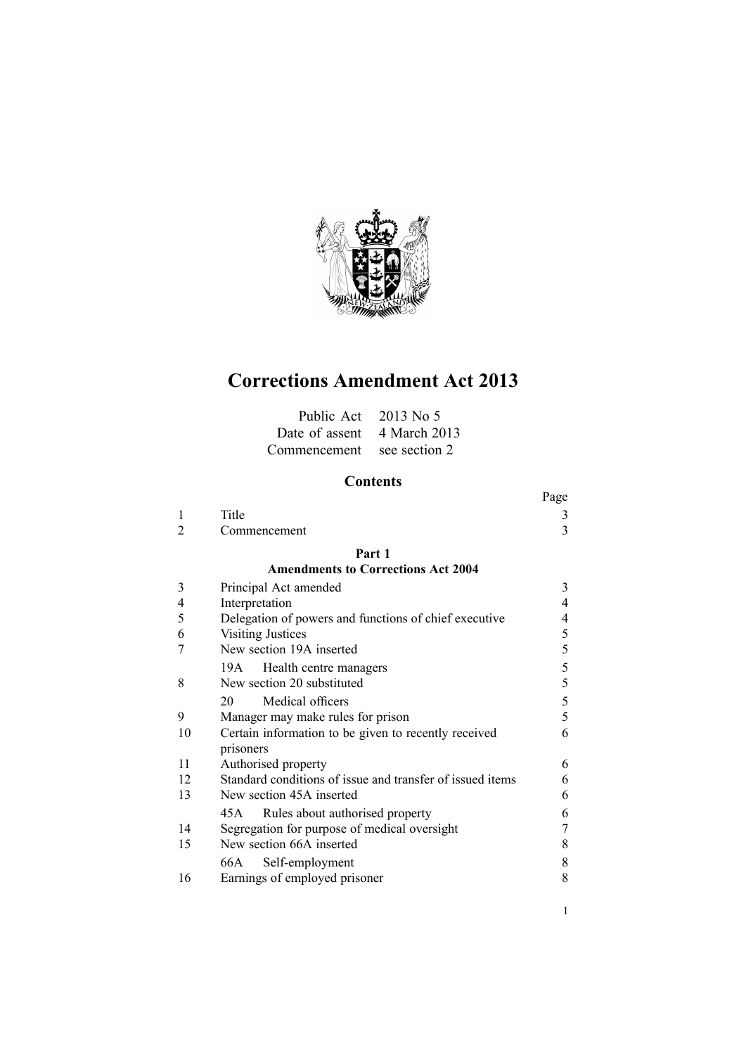

# **Corrections Amendment Act 2013**

| Public Act $2013$ No 5      |  |
|-----------------------------|--|
| Date of assent 4 March 2013 |  |
| Commencement see section 2  |  |

# **Contents**

|    |                                                           | Page                     |
|----|-----------------------------------------------------------|--------------------------|
| 1  | Title                                                     | 3                        |
| 2  | Commencement                                              | 3                        |
|    | Part 1                                                    |                          |
|    | <b>Amendments to Corrections Act 2004</b>                 |                          |
| 3  | Principal Act amended                                     | 3                        |
| 4  | Interpretation                                            | $\overline{\mathcal{A}}$ |
| 5  | Delegation of powers and functions of chief executive     | 4                        |
| 6  | <b>Visiting Justices</b>                                  | 5                        |
| 7  | New section 19A inserted                                  | 5                        |
|    | 19A Health centre managers                                | 5                        |
| 8  | New section 20 substituted                                | 5                        |
|    | Medical officers<br>20                                    | 5                        |
| 9  | Manager may make rules for prison                         | 5                        |
| 10 | Certain information to be given to recently received      | 6                        |
|    | prisoners                                                 |                          |
| 11 | Authorised property                                       | 6                        |
| 12 | Standard conditions of issue and transfer of issued items | 6                        |
| 13 | New section 45A inserted                                  | 6                        |
|    | Rules about authorised property<br>45 A                   | 6                        |
| 14 | Segregation for purpose of medical oversight              | 7                        |
| 15 | New section 66A inserted                                  | 8                        |
|    | 66A<br>Self-employment                                    | 8                        |
| 16 | Earnings of employed prisoner                             | 8                        |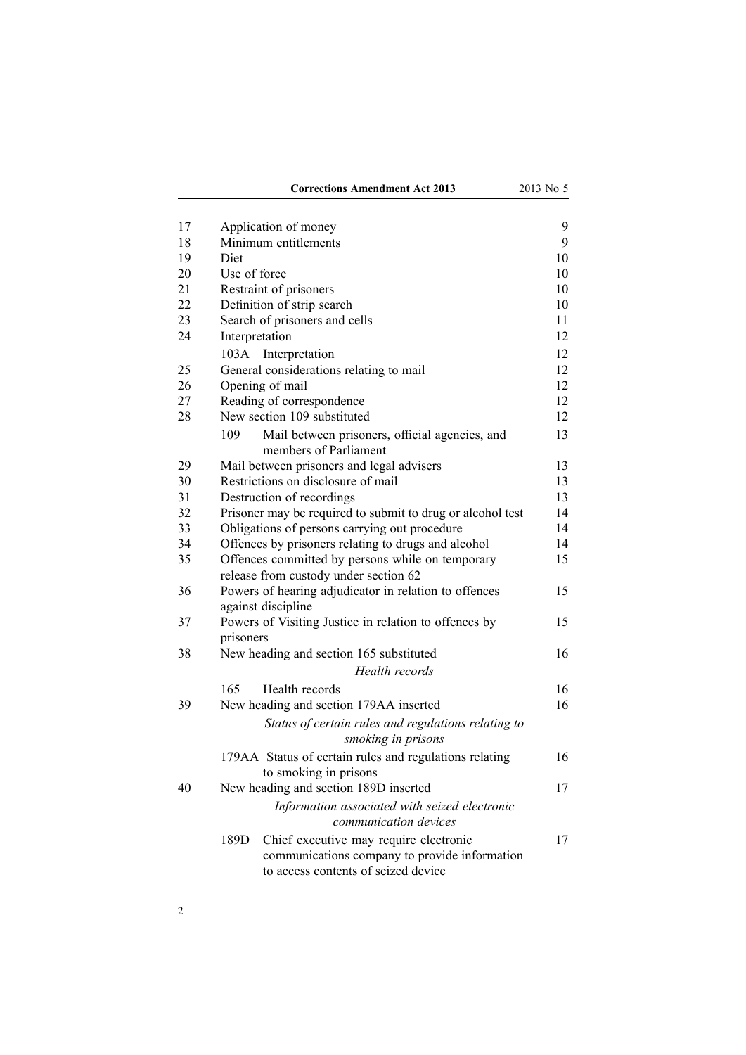| 17 | Application of money                                                                                                                   | 9        |  |  |
|----|----------------------------------------------------------------------------------------------------------------------------------------|----------|--|--|
| 18 | Minimum entitlements                                                                                                                   |          |  |  |
| 19 | Diet                                                                                                                                   |          |  |  |
| 20 | Use of force                                                                                                                           |          |  |  |
| 21 | Restraint of prisoners                                                                                                                 |          |  |  |
| 22 | Definition of strip search                                                                                                             |          |  |  |
| 23 | Search of prisoners and cells                                                                                                          |          |  |  |
| 24 | Interpretation                                                                                                                         | 11<br>12 |  |  |
|    | 103A<br>Interpretation                                                                                                                 | 12       |  |  |
| 25 | General considerations relating to mail                                                                                                | 12       |  |  |
| 26 | 12<br>Opening of mail                                                                                                                  |          |  |  |
| 27 | 12<br>Reading of correspondence                                                                                                        |          |  |  |
| 28 | New section 109 substituted                                                                                                            | 12       |  |  |
|    | Mail between prisoners, official agencies, and<br>109<br>members of Parliament                                                         | 13       |  |  |
| 29 | Mail between prisoners and legal advisers                                                                                              | 13       |  |  |
| 30 | Restrictions on disclosure of mail                                                                                                     | 13       |  |  |
| 31 | Destruction of recordings                                                                                                              | 13       |  |  |
| 32 | Prisoner may be required to submit to drug or alcohol test                                                                             | 14       |  |  |
| 33 | Obligations of persons carrying out procedure                                                                                          | 14       |  |  |
| 34 | Offences by prisoners relating to drugs and alcohol                                                                                    | 14       |  |  |
| 35 | Offences committed by persons while on temporary                                                                                       | 15       |  |  |
|    | release from custody under section 62                                                                                                  |          |  |  |
| 36 | Powers of hearing adjudicator in relation to offences                                                                                  | 15       |  |  |
|    | against discipline                                                                                                                     |          |  |  |
| 37 | Powers of Visiting Justice in relation to offences by<br>prisoners                                                                     | 15       |  |  |
| 38 | New heading and section 165 substituted                                                                                                | 16       |  |  |
|    | Health records                                                                                                                         |          |  |  |
|    |                                                                                                                                        |          |  |  |
|    | 165<br>Health records                                                                                                                  | 16<br>16 |  |  |
| 39 | New heading and section 179AA inserted                                                                                                 |          |  |  |
|    | Status of certain rules and regulations relating to<br>smoking in prisons                                                              |          |  |  |
|    | 179AA Status of certain rules and regulations relating<br>to smoking in prisons                                                        | 16       |  |  |
| 40 | New heading and section 189D inserted                                                                                                  | 17       |  |  |
|    | Information associated with seized electronic<br>communication devices                                                                 |          |  |  |
|    |                                                                                                                                        |          |  |  |
|    | Chief executive may require electronic<br>189D<br>communications company to provide information<br>to access contents of seized device | 17       |  |  |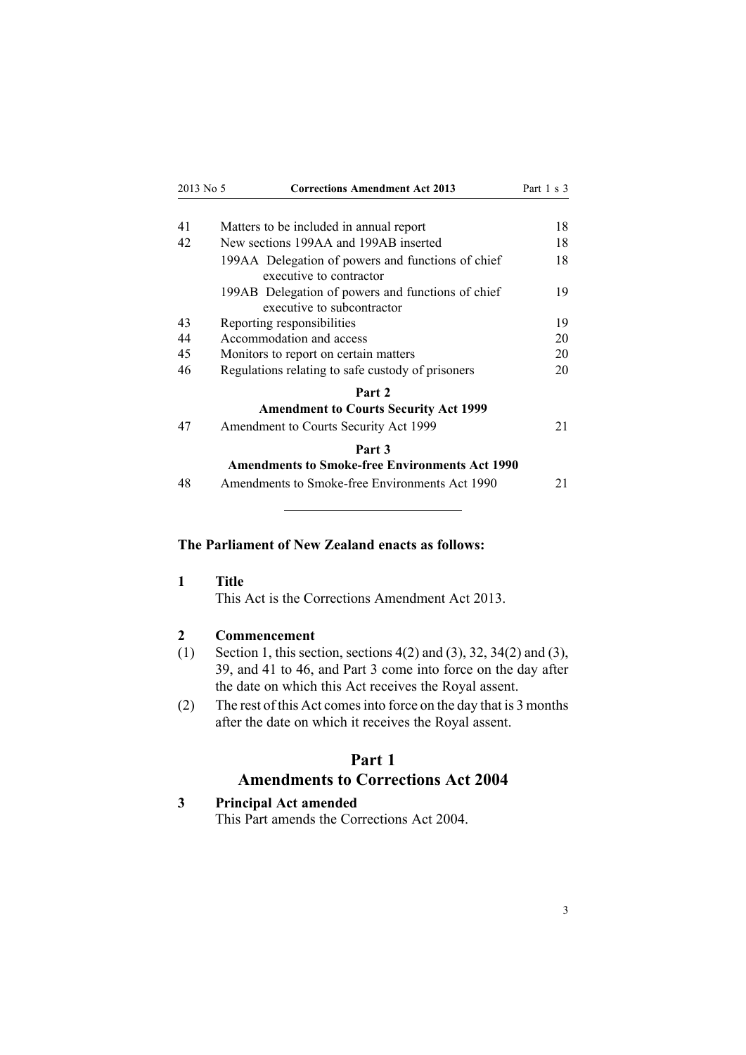<span id="page-2-0"></span>

| 2013 No 5 | <b>Corrections Amendment Act 2013</b>                                           | Part 1 s 3 |
|-----------|---------------------------------------------------------------------------------|------------|
|           |                                                                                 |            |
| 41        | Matters to be included in annual report                                         | 18         |
| 42        | New sections 199AA and 199AB inserted                                           | 18         |
|           | 199AA Delegation of powers and functions of chief<br>executive to contractor    | 18         |
|           | 199AB Delegation of powers and functions of chief<br>executive to subcontractor | 19         |
| 43        | Reporting responsibilities                                                      | 19         |
| 44        | Accommodation and access                                                        | 20         |
| 45        | Monitors to report on certain matters                                           | 20         |
| 46        | Regulations relating to safe custody of prisoners                               | 20         |
|           | Part 2                                                                          |            |
|           | <b>Amendment to Courts Security Act 1999</b>                                    |            |
| 47        | Amendment to Courts Security Act 1999                                           | 21         |
|           | Part 3                                                                          |            |
|           | <b>Amendments to Smoke-free Environments Act 1990</b>                           |            |
| 48        | Amendments to Smoke-free Environments Act 1990                                  | 21         |

# **The Parliament of New Zealand enacts as follows:**

**1 Title**

This Act is the Corrections Amendment Act 2013.

# **2 Commencement**

- (1) Section 1, this section, [sections](#page-3-0) 4(2) and (3), [32](#page-13-0), [34\(2\)](#page-13-0) and (3), [39](#page-15-0), and 41 to [46](#page-17-0), and [Part](#page-20-0) 3 come into force on the day after the date on which this Act receives the Royal assent.
- (2) The rest of this Act comesinto force on the day that is 3 months after the date on which it receives the Royal assent.

# **Part 1**

# **Amendments to Corrections Act 2004**

# **3 Principal Act amended**

This Part amends the [Corrections](http://www.legislation.govt.nz/pdflink.aspx?id=DLM294848) Act 2004.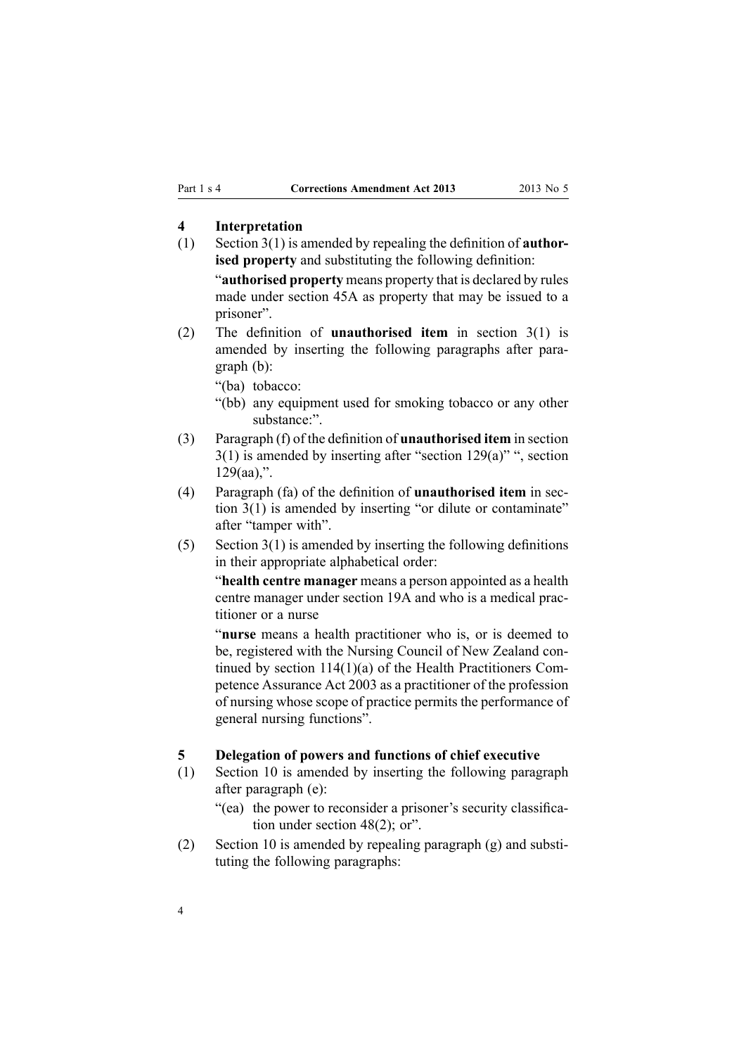# <span id="page-3-0"></span>**4 Interpretation**

(1) [Section](http://www.legislation.govt.nz/pdflink.aspx?id=DLM294857) 3(1) is amended by repealing the definition of **authorised property** and substituting the following definition:

"**authorised property** means property that is declared by rules made under section 45A as property that may be issued to <sup>a</sup> prisoner".

(2) The definition of **unauthorised item** in [section](http://www.legislation.govt.nz/pdflink.aspx?id=DLM294857) 3(1) is amended by inserting the following paragraphs after paragraph (b):

"(ba) tobacco:

- "(bb) any equipment used for smoking tobacco or any other substance:".
- (3) Paragraph (f) of the definition of **unauthorised item** in [section](http://www.legislation.govt.nz/pdflink.aspx?id=DLM294857)  $3(1)$  is amended by inserting after "section  $129(a)$ ", section  $129(aa)$ ,".
- (4) Paragraph (fa) of the definition of **unauthorised item** in [sec](http://www.legislation.govt.nz/pdflink.aspx?id=DLM294857)tion [3\(1\)](http://www.legislation.govt.nz/pdflink.aspx?id=DLM294857) is amended by inserting "or dilute or contaminate" after "tamper with".
- (5) [Section](http://www.legislation.govt.nz/pdflink.aspx?id=DLM294857)  $3(1)$  is amended by inserting the following definitions in their appropriate alphabetical order:

"**health centre manager** means <sup>a</sup> person appointed as <sup>a</sup> health centre manager under section 19A and who is <sup>a</sup> medical practitioner or <sup>a</sup> nurse

"**nurse** means <sup>a</sup> health practitioner who is, or is deemed to be, registered with the Nursing Council of New Zealand continued by section 114(1)(a) of the Health Practitioners Competence Assurance Act 2003 as <sup>a</sup> practitioner of the profession of nursing whose scope of practice permits the performance of general nursing functions".

#### **5 Delegation of powers and functions of chief executive**

- (1) [Section](http://www.legislation.govt.nz/pdflink.aspx?id=DLM295406) 10 is amended by inserting the following paragraph after paragraph (e):
	- "(ea) the power to reconsider <sup>a</sup> prisoner's security classification under section 48(2); or".
- (2) [Section](http://www.legislation.govt.nz/pdflink.aspx?id=DLM295406) 10 is amended by repealing paragraph (g) and substituting the following paragraphs: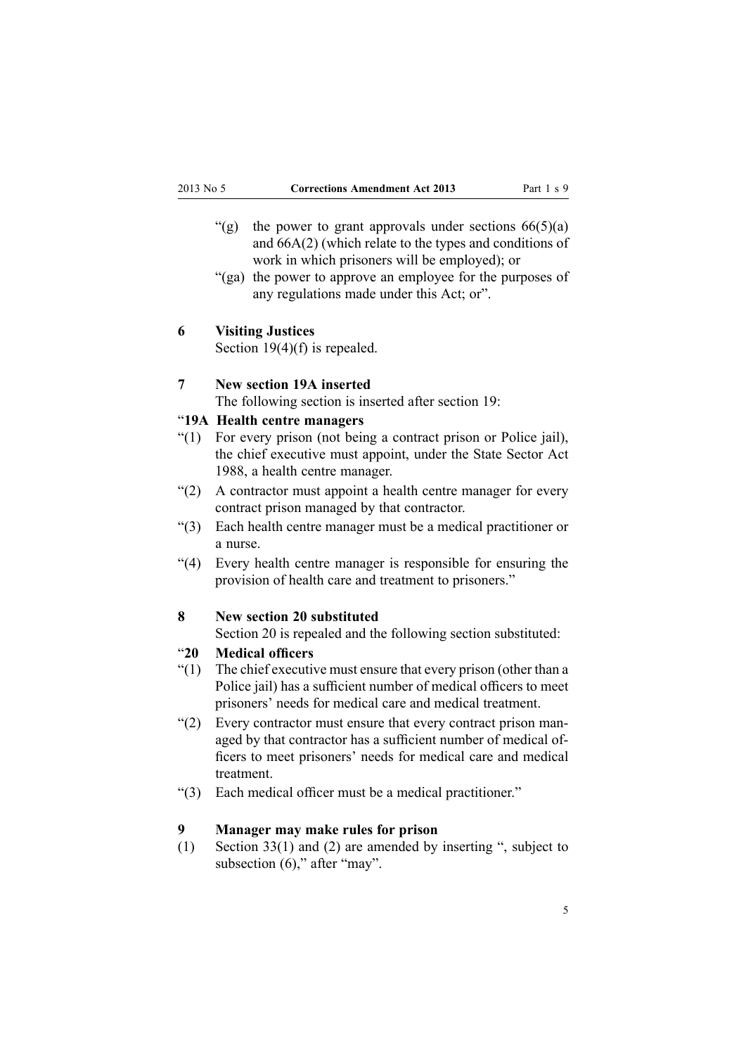- <span id="page-4-0"></span>"(g) the power to grant approvals under sections  $66(5)(a)$ and 66A(2) (which relate to the types and conditions of work in which prisoners will be employed); or
- "(ga) the power to approve an employee for the purposes of any regulations made under this Act; or".

#### **6 Visiting Justices**

Section [19\(4\)\(f\)](http://www.legislation.govt.nz/pdflink.aspx?id=DLM295417) is repealed.

#### **7 New section 19A inserted**

The following section is inserted after [section](http://www.legislation.govt.nz/pdflink.aspx?id=DLM295417) 19:

# "**19A Health centre managers**

- "(1) For every prison (not being <sup>a</sup> contract prison or Police jail), the chief executive must appoint, under the State Sector Act 1988, <sup>a</sup> health centre manager.
- "(2) A contractor must appoint <sup>a</sup> health centre manager for every contract prison managed by that contractor.
- "(3) Each health centre manager must be <sup>a</sup> medical practitioner or a nurse.
- "(4) Every health centre manager is responsible for ensuring the provision of health care and treatment to prisoners."

#### **8 New section 20 substituted**

[Section](http://www.legislation.govt.nz/pdflink.aspx?id=DLM295418) 20 is repealed and the following section substituted:

# "**20 Medical officers**

- $''(1)$  The chief executive must ensure that every prison (other than a Police jail) has <sup>a</sup> sufficient number of medical officers to meet prisoners' needs for medical care and medical treatment.
- "(2) Every contractor must ensure that every contract prison managed by that contractor has <sup>a</sup> sufficient number of medical officers to meet prisoners' needs for medical care and medical treatment.
- "(3) Each medical officer must be <sup>a</sup> medical practitioner."

# **9 Manager may make rules for prison**

(1) [Section](http://www.legislation.govt.nz/pdflink.aspx?id=DLM295437) 33(1) and (2) are amended by inserting ", subject to subsection (6)," after "may".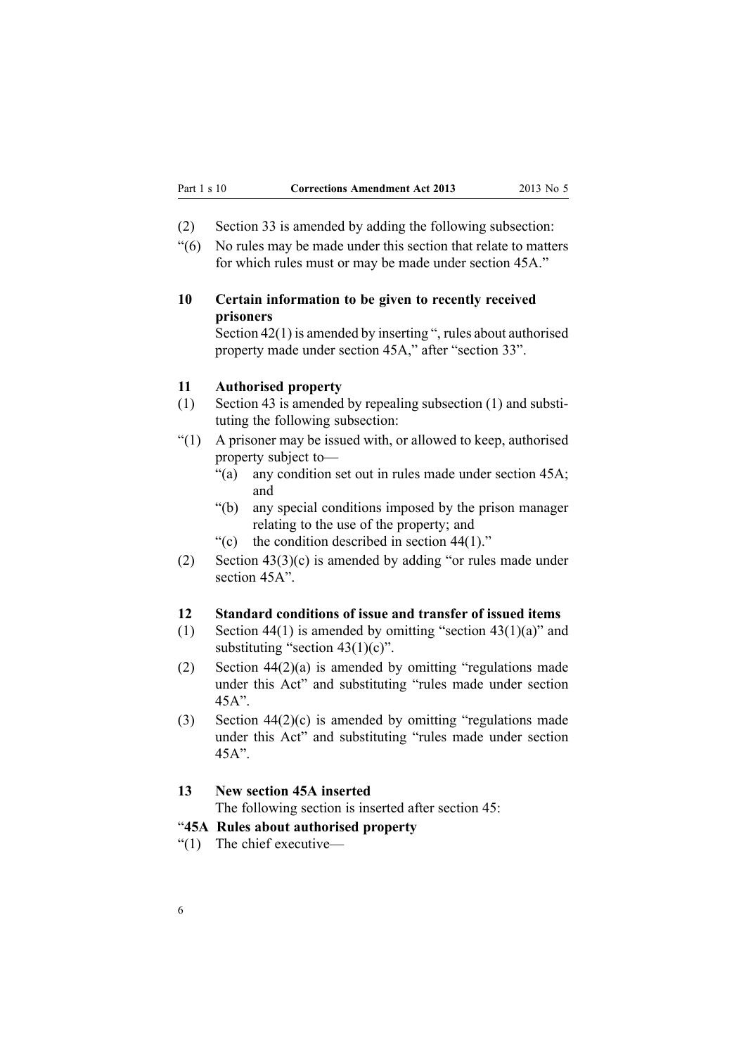- <span id="page-5-0"></span>(2) [Section](http://www.legislation.govt.nz/pdflink.aspx?id=DLM295437) 33 is amended by adding the following subsection:
- "(6) No rules may be made under this section that relate to matters for which rules must or may be made under section 45A."

# **10 Certain information to be given to recently received prisoners**

[Section](http://www.legislation.govt.nz/pdflink.aspx?id=DLM295449) 42(1) is amended by inserting ", rules about authorised property made under section 45A," after "section 33".

#### **11 Authorised property**

- (1) [Section](http://www.legislation.govt.nz/pdflink.aspx?id=DLM295451) 43 is amended by repealing subsection (1) and substituting the following subsection:
- "(1) A prisoner may be issued with, or allowed to keep, authorised property subject to—
	- "(a) any condition set out in rules made under section 45A; and
	- "(b) any special conditions imposed by the prison manager relating to the use of the property; and
	- "(c) the condition described in section  $44(1)$ ."
- (2) Section [43\(3\)\(c\)](http://www.legislation.govt.nz/pdflink.aspx?id=DLM295451) is amended by adding "or rules made under section 45A".

# **12 Standard conditions of issue and transfer of issued items**

- (1) [Section](http://www.legislation.govt.nz/pdflink.aspx?id=DLM295452) 44(1) is amended by omitting "section  $43(1)(a)$ " and substituting "section  $43(1)(c)$ ".
- (2) Section [44\(2\)\(a\)](http://www.legislation.govt.nz/pdflink.aspx?id=DLM295452) is amended by omitting "regulations made under this Act" and substituting "rules made under section 45A".
- (3) Section [44\(2\)\(c\)](http://www.legislation.govt.nz/pdflink.aspx?id=DLM295452) is amended by omitting "regulations made under this Act" and substituting "rules made under section 45A".

#### **13 New section 45A inserted**

The following section is inserted after [section](http://www.legislation.govt.nz/pdflink.aspx?id=DLM295454) 45:

#### "**45A Rules about authorised property**

"(1) The chief executive—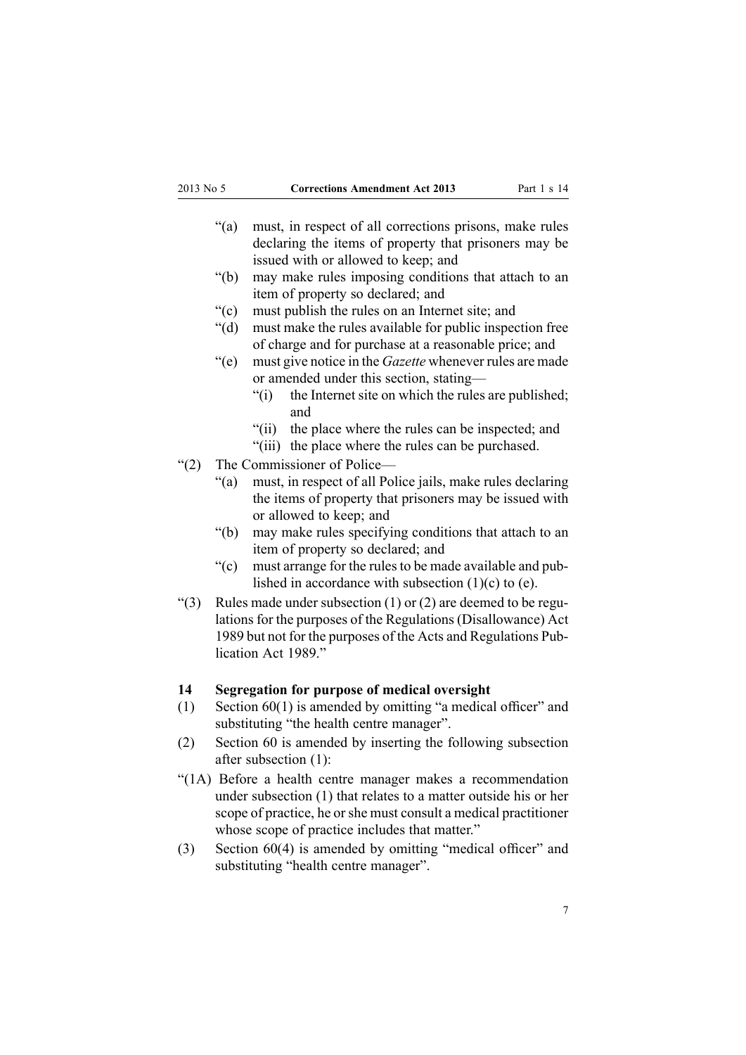- <span id="page-6-0"></span>"(a) must, in respec<sup>t</sup> of all corrections prisons, make rules declaring the items of property that prisoners may be issued with or allowed to keep; and
- "(b) may make rules imposing conditions that attach to an item of property so declared; and
- "(c) must publish the rules on an Internet site; and
- "(d) must make the rules available for public inspection free of charge and for purchase at <sup>a</sup> reasonable price; and
- "(e) must give notice in the *Gazette* whenever rules are made or amended under this section, stating—
	- "(i) the Internet site on which the rules are published; and
	- "(ii) the place where the rules can be inspected; and
	- "(iii) the place where the rules can be purchased.
- "(2) The Commissioner of Police—
	- "(a) must, in respec<sup>t</sup> of all Police jails, make rules declaring the items of property that prisoners may be issued with or allowed to keep; and
	- "(b) may make rules specifying conditions that attach to an item of property so declared; and
	- "(c) must arrange for the rules to be made available and published in accordance with subsection  $(1)(c)$  to  $(e)$ .
- "(3) Rules made under subsection  $(1)$  or  $(2)$  are deemed to be regulations for the purposes of the Regulations (Disallowance) Act 1989 but not for the purposes of the Acts and Regulations Publication Act 1989."

#### **14 Segregation for purpose of medical oversight**

- (1) [Section](http://www.legislation.govt.nz/pdflink.aspx?id=DLM295475) 60(1) is amended by omitting "a medical officer" and substituting "the health centre manager".
- (2) [Section](http://www.legislation.govt.nz/pdflink.aspx?id=DLM295475) 60 is amended by inserting the following subsection after subsection (1):
- "(1A) Before <sup>a</sup> health centre manager makes <sup>a</sup> recommendation under subsection (1) that relates to <sup>a</sup> matter outside his or her scope of practice, he or she must consult a medical practitioner whose scope of practice includes that matter."
- (3) [Section](http://www.legislation.govt.nz/pdflink.aspx?id=DLM295475) 60(4) is amended by omitting "medical officer" and substituting "health centre manager".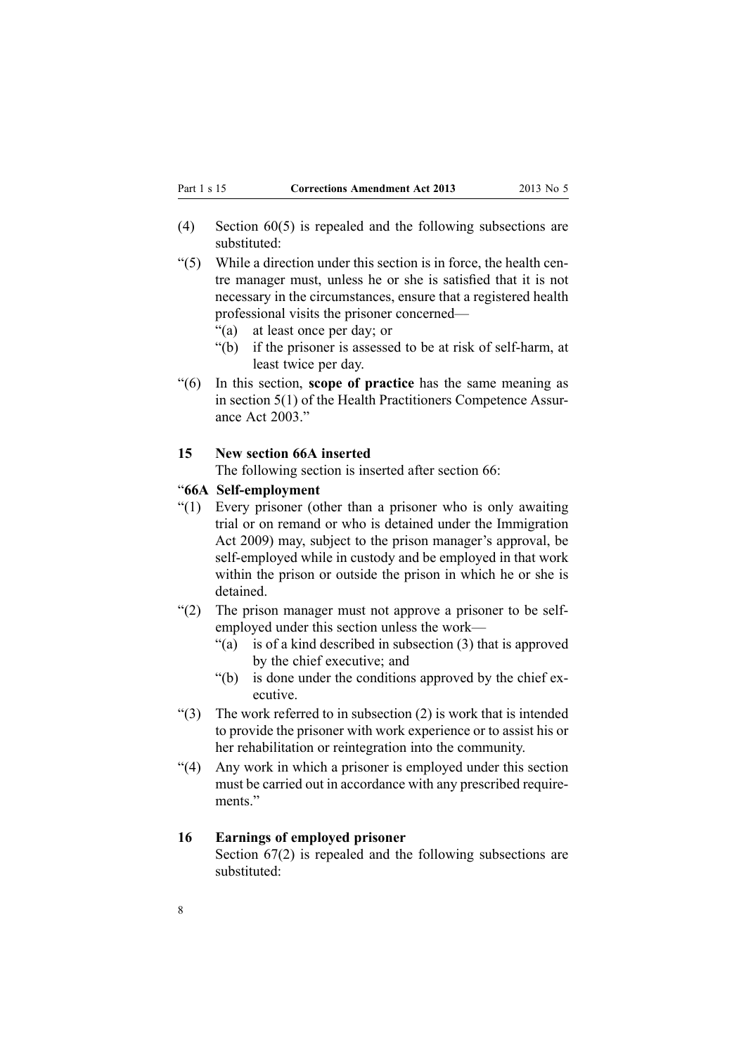- <span id="page-7-0"></span>(4) [Section](http://www.legislation.govt.nz/pdflink.aspx?id=DLM295475) 60(5) is repealed and the following subsections are substituted:
- $(5)$  While a direction under this section is in force, the health centre manager must, unless he or she is satisfied that it is not necessary in the circumstances, ensure that <sup>a</sup> registered health professional visits the prisoner concerned—
	- "(a) at least once per day; or
	- "(b) if the prisoner is assessed to be at risk of self-harm, at least twice per day.
- "(6) In this section, **scope of practice** has the same meaning as in section 5(1) of the Health Practitioners Competence Assurance Act 2003."

#### **15 New section 66A inserted**

The following section is inserted after [section](http://www.legislation.govt.nz/pdflink.aspx?id=DLM295485) 66:

#### "**66A Self-employment**

- "(1) Every prisoner (other than <sup>a</sup> prisoner who is only awaiting trial or on remand or who is detained under the Immigration Act 2009) may, subject to the prison manager's approval, be self-employed while in custody and be employed in that work within the prison or outside the prison in which he or she is detained.
- "(2) The prison manager must not approve <sup>a</sup> prisoner to be selfemployed under this section unless the work—
	- "(a) is of <sup>a</sup> kind described in subsection (3) that is approved by the chief executive; and
	- "(b) is done under the conditions approved by the chief executive.
- " $(3)$  The work referred to in subsection  $(2)$  is work that is intended to provide the prisoner with work experience or to assist his or her rehabilitation or reintegration into the community.
- "(4) Any work in which <sup>a</sup> prisoner is employed under this section must be carried out in accordance with any prescribed requirements"

#### **16 Earnings of employed prisoner**

[Section](http://www.legislation.govt.nz/pdflink.aspx?id=DLM295486) 67(2) is repealed and the following subsections are substituted: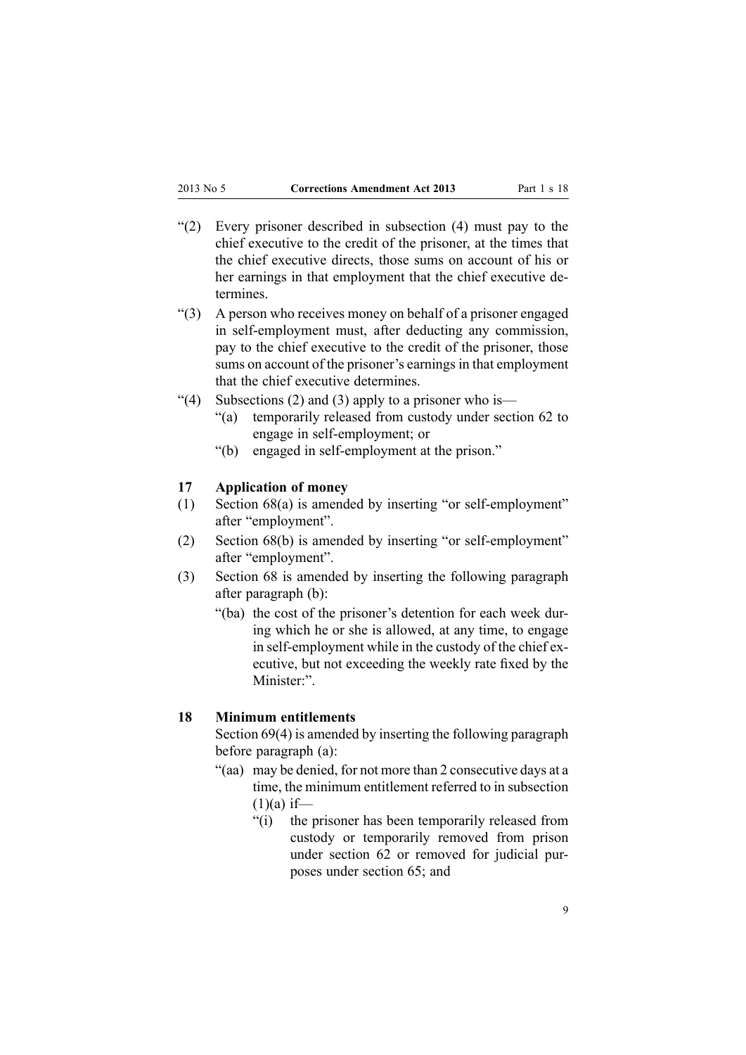- <span id="page-8-0"></span>"(2) Every prisoner described in subsection (4) must pay to the chief executive to the credit of the prisoner, at the times that the chief executive directs, those sums on account of his or her earnings in that employment that the chief executive determines.
- "(3) A person who receives money on behalf of <sup>a</sup> prisoner engaged in self-employment must, after deducting any commission, pay to the chief executive to the credit of the prisoner, those sums on account of the prisoner's earnings in that employment that the chief executive determines.
- "(4) Subsections (2) and (3) apply to a prisoner who is—
	- "(a) temporarily released from custody under section 62 to engage in self-employment; or
	- "(b) engaged in self-employment at the prison."

#### **17 Application of money**

- (1) [Section](http://www.legislation.govt.nz/pdflink.aspx?id=DLM295487) 68(a) is amended by inserting "or self-employment" after "employment".
- (2) [Section](http://www.legislation.govt.nz/pdflink.aspx?id=DLM295487) 68(b) is amended by inserting "or self-employment" after "employment".
- (3) [Section](http://www.legislation.govt.nz/pdflink.aspx?id=DLM295487) 68 is amended by inserting the following paragraph after paragraph (b):
	- "(ba) the cost of the prisoner's detention for each week during which he or she is allowed, at any time, to engage in self-employment while in the custody of the chief executive, but not exceeding the weekly rate fixed by the Minister:".

#### **18 Minimum entitlements**

[Section](http://www.legislation.govt.nz/pdflink.aspx?id=DLM295489) 69(4) is amended by inserting the following paragraph before paragraph (a):

- "(aa) may be denied, for not more than 2 consecutive days at <sup>a</sup> time, the minimum entitlement referred to in subsection  $(1)(a)$  if—
	- "(i) the prisoner has been temporarily released from custody or temporarily removed from prison under section 62 or removed for judicial purposes under section 65; and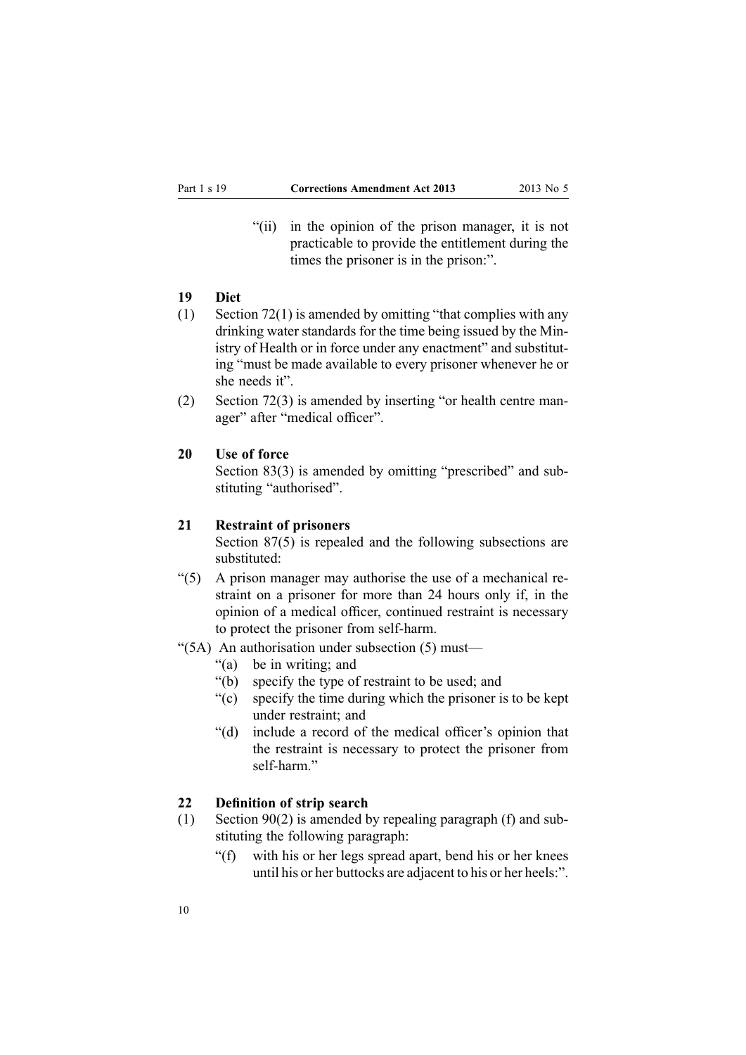<span id="page-9-0"></span>"(ii) in the opinion of the prison manager, it is not practicable to provide the entitlement during the times the prisoner is in the prison:".

# **19 Diet**

- (1) [Section](http://www.legislation.govt.nz/pdflink.aspx?id=DLM295499) 72(1) is amended by omitting "that complies with any drinking water standards for the time being issued by the Ministry of Health or in force under any enactment" and substituting "must be made available to every prisoner whenever he or she needs it".
- (2) [Section](http://www.legislation.govt.nz/pdflink.aspx?id=DLM295499) 72(3) is amended by inserting "or health centre manager" after "medical officer".

#### **20 Use of force**

[Section](http://www.legislation.govt.nz/pdflink.aspx?id=DLM296018) 83(3) is amended by omitting "prescribed" and substituting "authorised".

#### **21 Restraint of prisoners**

[Section](http://www.legislation.govt.nz/pdflink.aspx?id=DLM296023) 87(5) is repealed and the following subsections are substituted:

- $(5)$  A prison manager may authorise the use of a mechanical restraint on <sup>a</sup> prisoner for more than 24 hours only if, in the opinion of <sup>a</sup> medical officer, continued restraint is necessary to protect the prisoner from self-harm.
- "(5A) An authorisation under subsection (5) must—
	- "(a) be in writing; and
	- "(b) specify the type of restraint to be used; and
	- "(c) specify the time during which the prisoner is to be kept under restraint; and
	- "(d) include <sup>a</sup> record of the medical officer's opinion that the restraint is necessary to protect the prisoner from self-harm"

#### **22 Definition of strip search**

- (1) [Section](http://www.legislation.govt.nz/pdflink.aspx?id=DLM296027) 90(2) is amended by repealing paragraph (f) and substituting the following paragraph:
	- "(f) with his or her legs spread apart, bend his or her knees until his or her buttocks are adjacent to his or her heels:".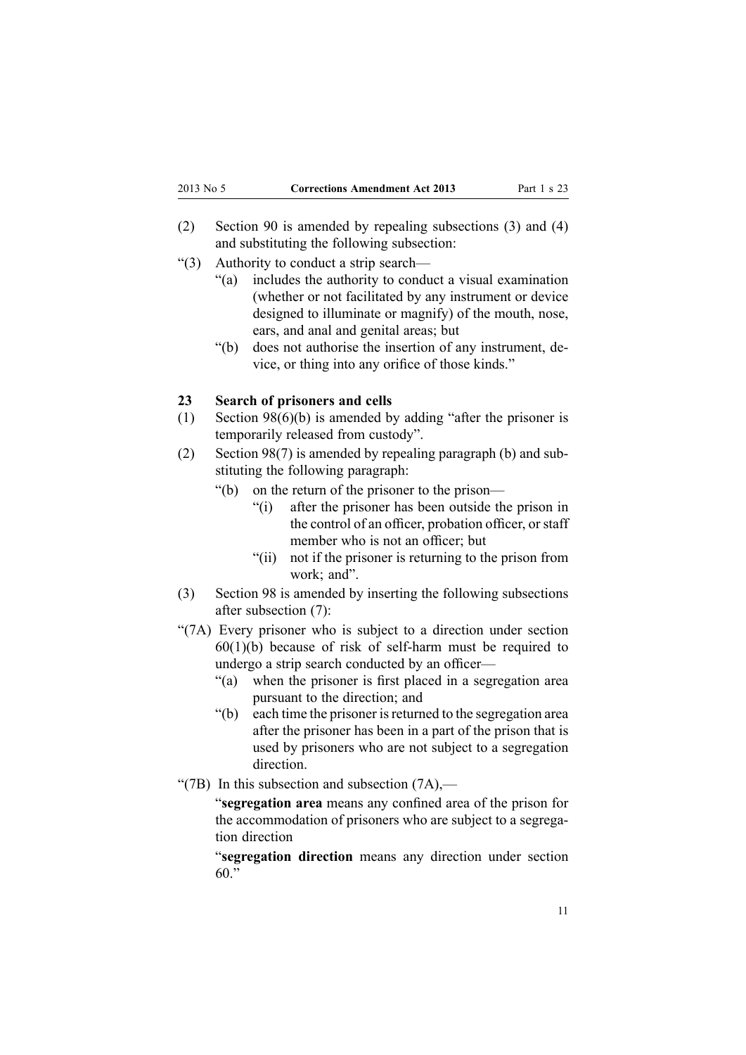- <span id="page-10-0"></span>(2) [Section](http://www.legislation.govt.nz/pdflink.aspx?id=DLM296027) 90 is amended by repealing subsections (3) and (4) and substituting the following subsection:
- "(3) Authority to conduct <sup>a</sup> strip search—
	- "(a) includes the authority to conduct <sup>a</sup> visual examination (whether or not facilitated by any instrument or device designed to illuminate or magnify) of the mouth, nose, ears, and anal and genital areas; but
	- "(b) does not authorise the insertion of any instrument, device, or thing into any orifice of those kinds."

#### **23 Search of prisoners and cells**

- (1) Section [98\(6\)\(b\)](http://www.legislation.govt.nz/pdflink.aspx?id=DLM296038) is amended by adding "after the prisoner is temporarily released from custody".
- (2) [Section](http://www.legislation.govt.nz/pdflink.aspx?id=DLM296038) 98(7) is amended by repealing paragraph (b) and substituting the following paragraph:
	- "(b) on the return of the prisoner to the prison—
		- "(i) after the prisoner has been outside the prison in the control of an officer, probation officer, or staff member who is not an officer; but
		- "(ii) not if the prisoner is returning to the prison from work; and".
- (3) [Section](http://www.legislation.govt.nz/pdflink.aspx?id=DLM296038) 98 is amended by inserting the following subsections after subsection (7):
- "(7A) Every prisoner who is subject to <sup>a</sup> direction under section  $60(1)(b)$  because of risk of self-harm must be required to undergo <sup>a</sup> strip search conducted by an officer—
	- "(a) when the prisoner is first placed in <sup>a</sup> segregation area pursuan<sup>t</sup> to the direction; and
	- "(b) each time the prisoner is returned to the segregation area after the prisoner has been in <sup>a</sup> par<sup>t</sup> of the prison that is used by prisoners who are not subject to <sup>a</sup> segregation direction.
- "(7B) In this subsection and subsection  $(7A)$ ,—

"**segregation area** means any confined area of the prison for the accommodation of prisoners who are subject to <sup>a</sup> segregation direction

"**segregation direction** means any direction under section 60."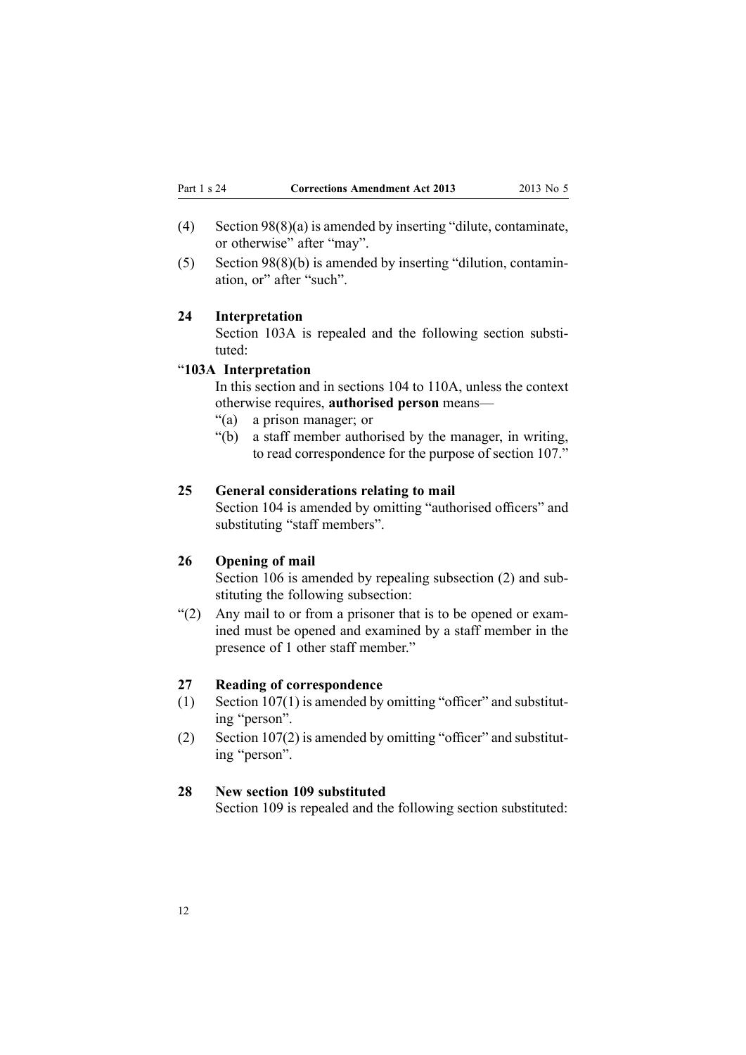- <span id="page-11-0"></span>(4) Section [98\(8\)\(a\)](http://www.legislation.govt.nz/pdflink.aspx?id=DLM296038) is amended by inserting "dilute, contaminate, or otherwise" after "may".
- (5) Section [98\(8\)\(b\)](http://www.legislation.govt.nz/pdflink.aspx?id=DLM296038) is amended by inserting "dilution, contamination, or" after "such".

#### **24 Interpretation**

[Section](http://www.legislation.govt.nz/pdflink.aspx?id=DLM1955248) 103A is repealed and the following section substituted:

#### "**103A Interpretation**

In this section and in sections 104 to 110A, unless the context otherwise requires, **authorised person** means—

- "(a) <sup>a</sup> prison manager; or
- "(b) <sup>a</sup> staff member authorised by the manager, in writing, to read correspondence for the purpose of section 107."

#### **25 General considerations relating to mail**

[Section](http://www.legislation.govt.nz/pdflink.aspx?id=DLM296047) 104 is amended by omitting "authorised officers" and substituting "staff members".

#### **26 Opening of mail**

[Section](http://www.legislation.govt.nz/pdflink.aspx?id=DLM296049) 106 is amended by repealing subsection (2) and substituting the following subsection:

"(2) Any mail to or from <sup>a</sup> prisoner that is to be opened or examined must be opened and examined by <sup>a</sup> staff member in the presence of 1 other staff member."

#### **27 Reading of correspondence**

- (1) Section  $107(1)$  is amended by omitting "officer" and substituting "person".
- (2) Section [107\(2\)](http://www.legislation.govt.nz/pdflink.aspx?id=DLM296050) is amended by omitting "officer" and substituting "person".

#### **28 New section 109 substituted**

[Section](http://www.legislation.govt.nz/pdflink.aspx?id=DLM296052) 109 is repealed and the following section substituted: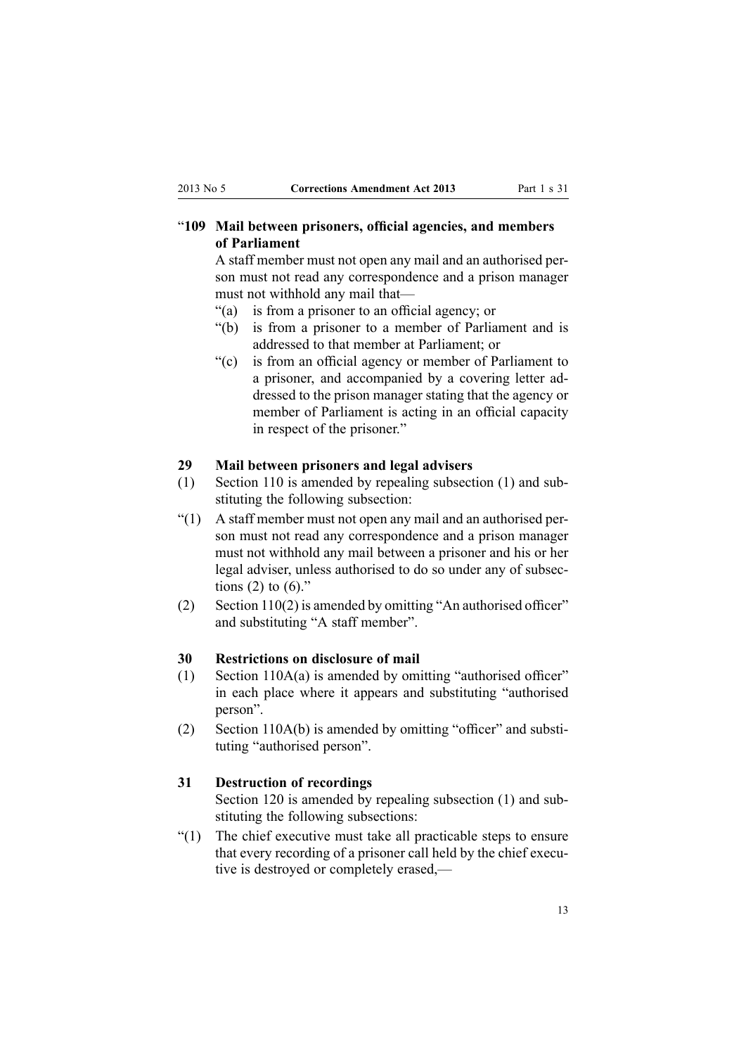# <span id="page-12-0"></span>"**109 Mail between prisoners, official agencies, and members of Parliament**

A staff member must not open any mail and an authorised person must not read any correspondence and <sup>a</sup> prison manager must not withhold any mail that—

- "(a) is from <sup>a</sup> prisoner to an official agency; or
- "(b) is from <sup>a</sup> prisoner to <sup>a</sup> member of Parliament and is addressed to that member at Parliament; or
- "(c) is from an official agency or member of Parliament to <sup>a</sup> prisoner, and accompanied by <sup>a</sup> covering letter addressed to the prison manager stating that the agency or member of Parliament is acting in an official capacity in respec<sup>t</sup> of the prisoner."

#### **29 Mail between prisoners and legal advisers**

- (1) [Section](http://www.legislation.govt.nz/pdflink.aspx?id=DLM296053) 110 is amended by repealing subsection (1) and substituting the following subsection:
- "(1) A staff member must not open any mail and an authorised person must not read any correspondence and <sup>a</sup> prison manager must not withhold any mail between <sup>a</sup> prisoner and his or her legal adviser, unless authorised to do so under any of subsections  $(2)$  to  $(6)$ ."
- (2) Section [110\(2\)](http://www.legislation.govt.nz/pdflink.aspx?id=DLM296053) is amended by omitting "An authorised officer" and substituting "A staff member".

#### **30 Restrictions on disclosure of mail**

- (1) Section [110A\(a\)](http://www.legislation.govt.nz/pdflink.aspx?id=DLM1955267) is amended by omitting "authorised officer" in each place where it appears and substituting "authorised person".
- (2) Section [110A\(b\)](http://www.legislation.govt.nz/pdflink.aspx?id=DLM1955267) is amended by omitting "officer" and substituting "authorised person".

#### **31 Destruction of recordings**

[Section](http://www.legislation.govt.nz/pdflink.aspx?id=DLM296092) 120 is amended by repealing subsection (1) and substituting the following subsections:

"(1) The chief executive must take all practicable steps to ensure that every recording of <sup>a</sup> prisoner call held by the chief executive is destroyed or completely erased,—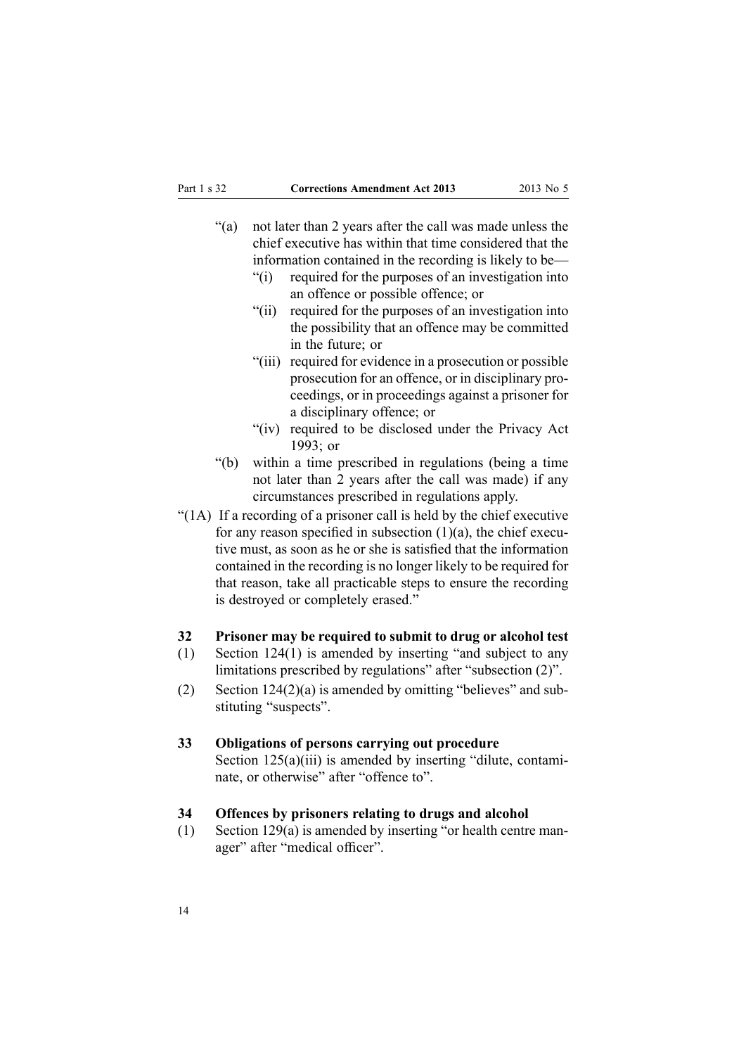- <span id="page-13-0"></span>"(a) not later than 2 years after the call was made unless the chief executive has within that time considered that the information contained in the recording is likely to be—
	- "(i) required for the purposes of an investigation into an offence or possible offence; or
	- "(ii) required for the purposes of an investigation into the possibility that an offence may be committed in the future; or
	- "(iii) required for evidence in <sup>a</sup> prosecution or possible prosecution for an offence, or in disciplinary proceedings, or in proceedings against <sup>a</sup> prisoner for <sup>a</sup> disciplinary offence; or
	- "(iv) required to be disclosed under the Privacy Act 1993; or
- "(b) within <sup>a</sup> time prescribed in regulations (being <sup>a</sup> time not later than 2 years after the call was made) if any circumstances prescribed in regulations apply.
- "(1A) If <sup>a</sup> recording of <sup>a</sup> prisoner call is held by the chief executive for any reason specified in subsection  $(1)(a)$ , the chief executive must, as soon as he or she is satisfied that the information contained in the recording is no longer likely to be required for that reason, take all practicable steps to ensure the recording is destroyed or completely erased."

#### **32 Prisoner may be required to submit to drug or alcohol test**

- (1) Section [124\(1\)](http://www.legislation.govt.nz/pdflink.aspx?id=DLM296097) is amended by inserting "and subject to any limitations prescribed by regulations" after "subsection (2)".
- (2) Section [124\(2\)\(a\)](http://www.legislation.govt.nz/pdflink.aspx?id=DLM296097) is amended by omitting "believes" and substituting "suspects".

#### **33 Obligations of persons carrying out procedure**

Section [125\(a\)\(iii\)](http://www.legislation.govt.nz/pdflink.aspx?id=DLM296098) is amended by inserting "dilute, contaminate, or otherwise" after "offence to".

#### **34 Offences by prisoners relating to drugs and alcohol**

(1) Section [129\(a\)](http://www.legislation.govt.nz/pdflink.aspx?id=DLM296504) is amended by inserting "or health centre manager" after "medical officer".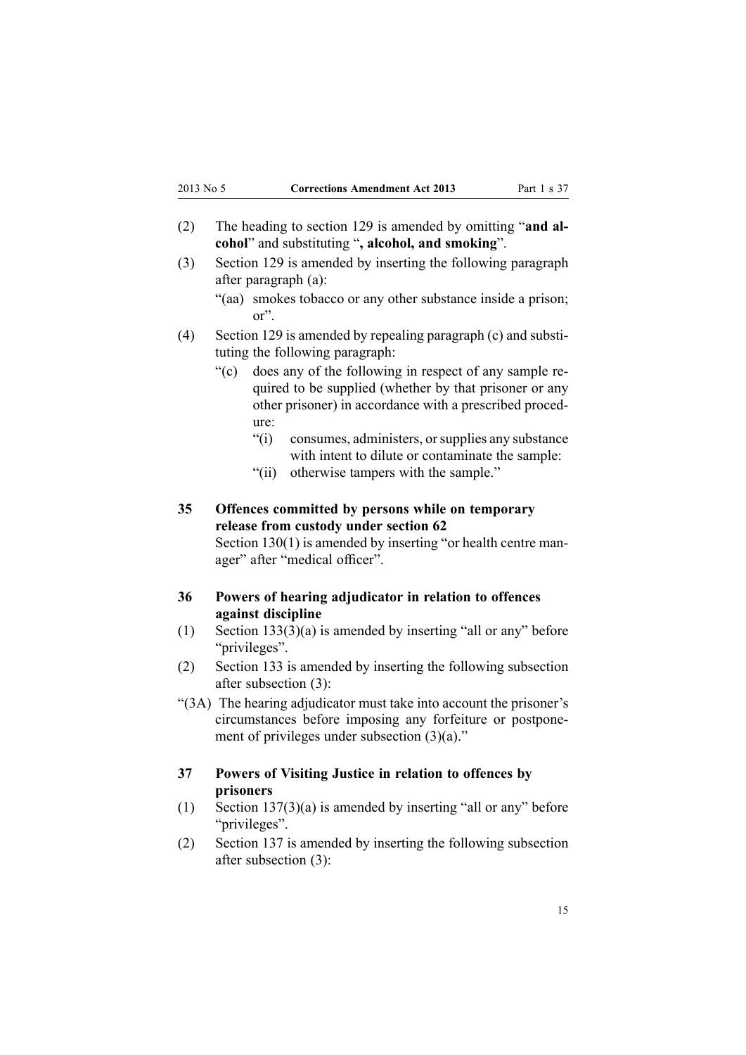- <span id="page-14-0"></span>(2) The heading to [section](http://www.legislation.govt.nz/pdflink.aspx?id=DLM296504) 129 is amended by omitting "**and alcohol**" and substituting "**, alcohol, and smoking**".
- (3) [Section](http://www.legislation.govt.nz/pdflink.aspx?id=DLM296504) 129 is amended by inserting the following paragraph after paragraph (a):
	- "(aa) smokes tobacco or any other substance inside <sup>a</sup> prison; or".
- (4) [Section](http://www.legislation.govt.nz/pdflink.aspx?id=DLM296504) 129 is amended by repealing paragraph (c) and substituting the following paragraph:
	- "(c) does any of the following in respec<sup>t</sup> of any sample required to be supplied (whether by that prisoner or any other prisoner) in accordance with <sup>a</sup> prescribed procedure:
		- "(i) consumes, administers, orsupplies any substance with intent to dilute or contaminate the sample:
		- "(ii) otherwise tampers with the sample."

# **35 Offences committed by persons while on temporary release from custody under section 62**

Section [130\(1\)](http://www.legislation.govt.nz/pdflink.aspx?id=DLM296505) is amended by inserting "or health centre manager" after "medical officer".

#### **36 Powers of hearing adjudicator in relation to offences against discipline**

- (1) Section [133\(3\)\(a\)](http://www.legislation.govt.nz/pdflink.aspx?id=DLM296508) is amended by inserting "all or any" before "privileges".
- (2) [Section](http://www.legislation.govt.nz/pdflink.aspx?id=DLM296508) 133 is amended by inserting the following subsection after subsection (3):

"(3A) The hearing adjudicator must take into account the prisoner's circumstances before imposing any forfeiture or postponement of privileges under subsection (3)(a)."

#### **37 Powers of Visiting Justice in relation to offences by prisoners**

- (1) Section [137\(3\)\(a\)](http://www.legislation.govt.nz/pdflink.aspx?id=DLM296512) is amended by inserting "all or any" before "privileges".
- (2) [Section](http://www.legislation.govt.nz/pdflink.aspx?id=DLM296512) 137 is amended by inserting the following subsection after subsection (3):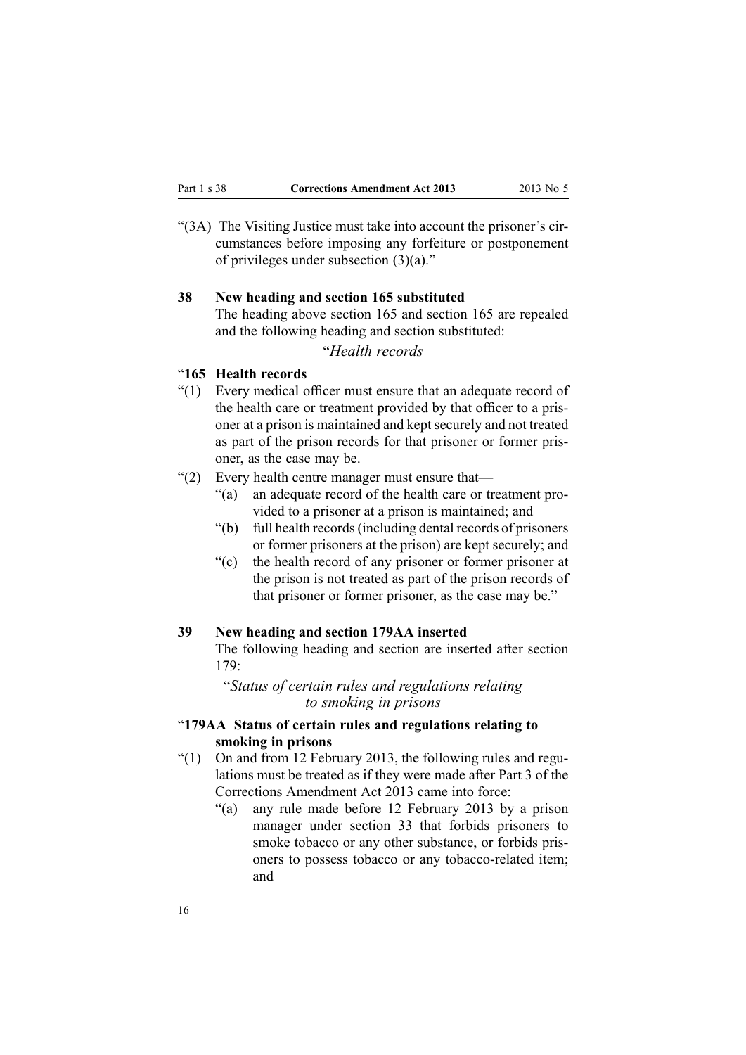<span id="page-15-0"></span>"(3A) The Visiting Justice must take into account the prisoner's circumstances before imposing any forfeiture or postponement of privileges under subsection (3)(a)."

#### **38 New heading and section 165 substituted**

The heading above [section](http://www.legislation.govt.nz/pdflink.aspx?id=DLM296554) 165 and section 165 are repealed and the following heading and section substituted:

"*Health records*

#### "**165 Health records**

- "(1) Every medical officer must ensure that an adequate record of the health care or treatment provided by that officer to <sup>a</sup> prisoner at a prison is maintained and kept securely and not treated as par<sup>t</sup> of the prison records for that prisoner or former prisoner, as the case may be.
- "(2) Every health centre manager must ensure that—
	- "(a) an adequate record of the health care or treatment provided to <sup>a</sup> prisoner at <sup>a</sup> prison is maintained; and
	- "(b) full health records(including dental records of prisoners or former prisoners at the prison) are kept securely; and
	- "(c) the health record of any prisoner or former prisoner at the prison is not treated as par<sup>t</sup> of the prison records of that prisoner or former prisoner, as the case may be."

#### **39 New heading and section 179AA inserted**

The following heading and section are inserted after [section](http://www.legislation.govt.nz/pdflink.aspx?id=DLM296570) [179](http://www.legislation.govt.nz/pdflink.aspx?id=DLM296570):

"*Status of certain rules and regulations relating to smoking in prisons*

#### "**179AA Status of certain rules and regulations relating to smoking in prisons**

- "(1) On and from 12 February 2013, the following rules and regulations must be treated as if they were made after Part 3 of the Corrections Amendment Act 2013 came into force:
	- "(a) any rule made before 12 February 2013 by <sup>a</sup> prison manager under section 33 that forbids prisoners to smoke tobacco or any other substance, or forbids prisoners to possess tobacco or any tobacco-related item; and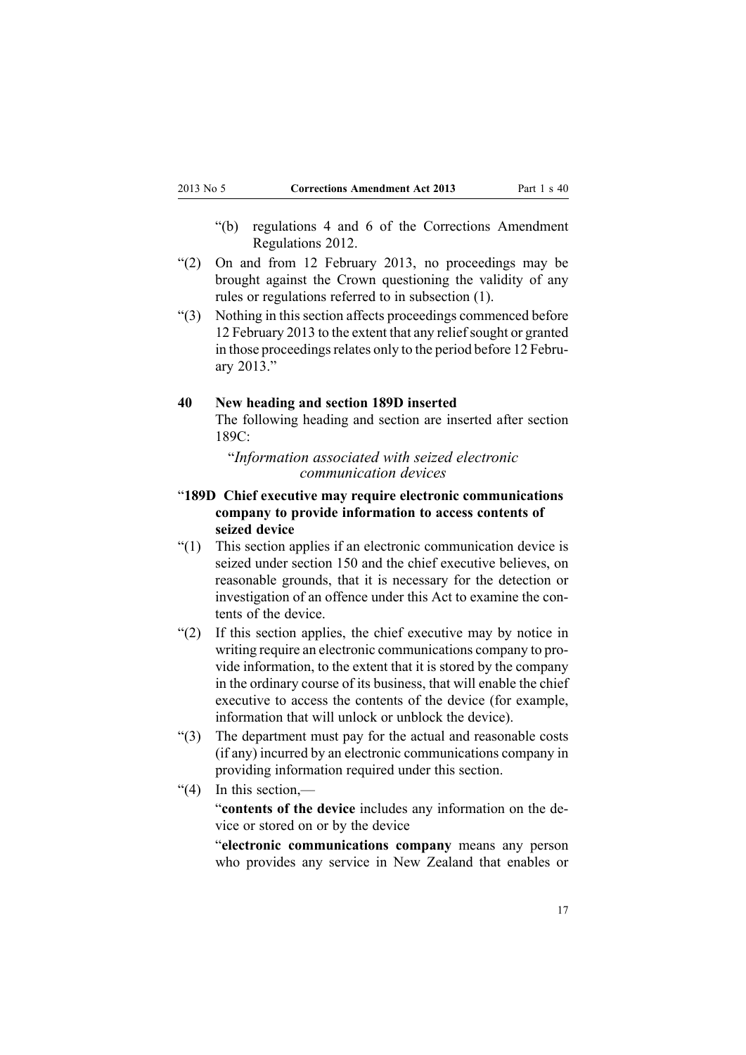- <span id="page-16-0"></span>"(b) regulations 4 and 6 of the Corrections Amendment Regulations 2012.
- "(2) On and from 12 February 2013, no proceedings may be brought against the Crown questioning the validity of any rules or regulations referred to in subsection (1).
- "(3) Nothing in this section affects proceedings commenced before 12 February 2013 to the extent that any reliefsought or granted in those proceedings relates only to the period before 12 February 2013."

#### **40 New heading and section 189D inserted**

The following heading and section are inserted after [section](http://www.legislation.govt.nz/pdflink.aspx?id=DLM1955999) [189C](http://www.legislation.govt.nz/pdflink.aspx?id=DLM1955999):

"*Information associated with seized electronic communication devices*

- "**189D Chief executive may require electronic communications company to provide information to access contents of seized device**
- "(1) This section applies if an electronic communication device is seized under section 150 and the chief executive believes, on reasonable grounds, that it is necessary for the detection or investigation of an offence under this Act to examine the contents of the device.
- "(2) If this section applies, the chief executive may by notice in writing require an electronic communications company to provide information, to the extent that it is stored by the company in the ordinary course of its business, that will enable the chief executive to access the contents of the device (for example, information that will unlock or unblock the device).
- "(3) The department must pay for the actual and reasonable costs (if any) incurred by an electronic communications company in providing information required under this section.
- "(4) In this section,—

"**contents of the device** includes any information on the device or stored on or by the device

"**electronic communications company** means any person who provides any service in New Zealand that enables or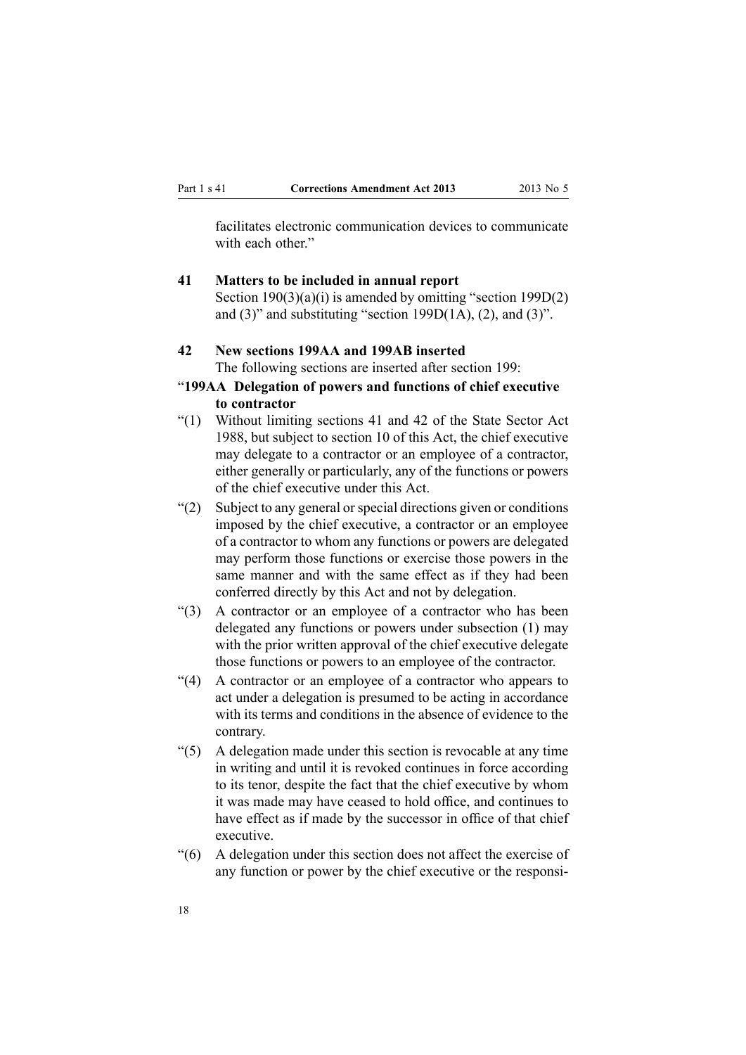<span id="page-17-0"></span>facilitates electronic communication devices to communicate with each other"

# **41 Matters to be included in annual report**

Section [190\(3\)\(a\)\(i\)](http://www.legislation.govt.nz/pdflink.aspx?id=DLM297103) is amended by omitting "section 199D(2) and  $(3)$ " and substituting "section 199D $(1A)$ ,  $(2)$ , and  $(3)$ ".

# **42 New sections 199AA and 199AB inserted** The following sections are inserted after [section](http://www.legislation.govt.nz/pdflink.aspx?id=DLM297119) 199:

# "**199AA Delegation of powers and functions of chief executive to contractor**

- "(1) Without limiting sections 41 and 42 of the State Sector Act 1988, but subject to section 10 of this Act, the chief executive may delegate to <sup>a</sup> contractor or an employee of <sup>a</sup> contractor, either generally or particularly, any of the functions or powers of the chief executive under this Act.
- "(2) Subject to any general or special directions given or conditions" imposed by the chief executive, <sup>a</sup> contractor or an employee of <sup>a</sup> contractor to whom any functions or powers are delegated may perform those functions or exercise those powers in the same manner and with the same effect as if they had been conferred directly by this Act and not by delegation.
- "(3) A contractor or an employee of <sup>a</sup> contractor who has been delegated any functions or powers under subsection (1) may with the prior written approval of the chief executive delegate those functions or powers to an employee of the contractor.
- "(4) A contractor or an employee of <sup>a</sup> contractor who appears to act under <sup>a</sup> delegation is presumed to be acting in accordance with its terms and conditions in the absence of evidence to the contrary.
- "(5) A delegation made under this section is revocable at any time in writing and until it is revoked continues in force according to its tenor, despite the fact that the chief executive by whom it was made may have ceased to hold office, and continues to have effect as if made by the successor in office of that chief executive.
- "(6) A delegation under this section does not affect the exercise of any function or power by the chief executive or the responsi-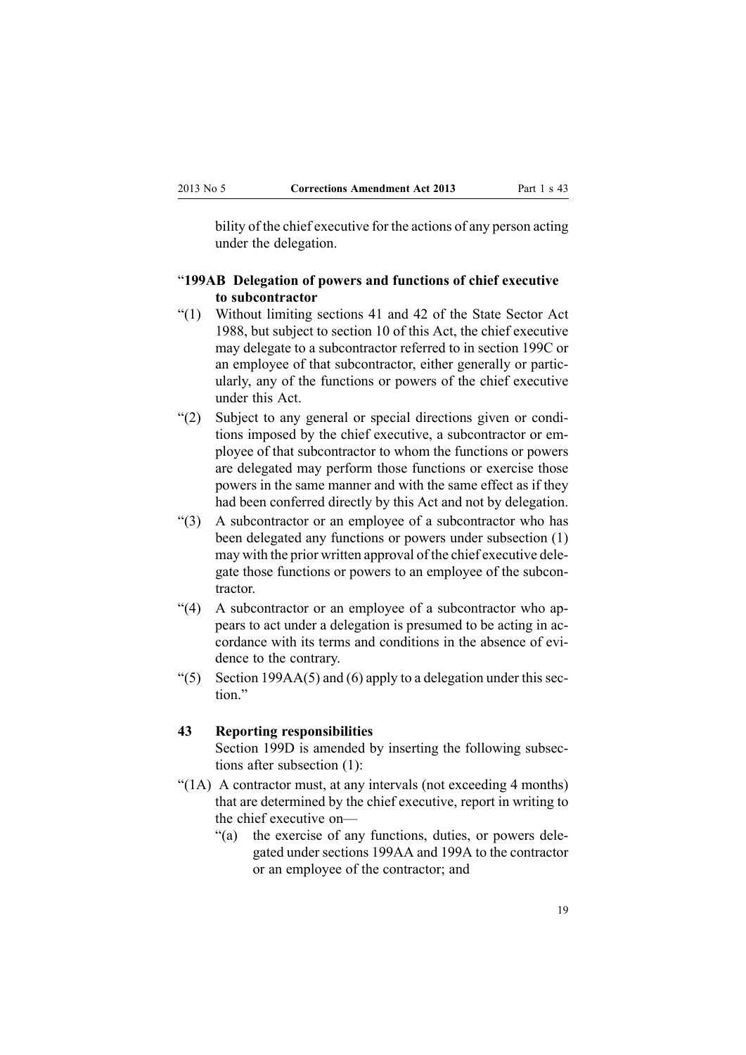<span id="page-18-0"></span>bility of the chief executive for the actions of any person acting under the delegation.

# "**199AB Delegation of powers and functions of chief executive to subcontractor**

- "(1) Without limiting sections 41 and 42 of the State Sector Act 1988, but subject to section 10 of this Act, the chief executive may delegate to <sup>a</sup> subcontractor referred to in section 199C or an employee of that subcontractor, either generally or particularly, any of the functions or powers of the chief executive under this Act.
- "(2) Subject to any general or special directions given or conditions imposed by the chief executive, <sup>a</sup> subcontractor or employee of that subcontractor to whom the functions or powers are delegated may perform those functions or exercise those powers in the same manner and with the same effect as if they had been conferred directly by this Act and not by delegation.
- "(3) A subcontractor or an employee of <sup>a</sup> subcontractor who has been delegated any functions or powers under subsection (1) may with the prior written approval of the chief executive delegate those functions or powers to an employee of the subcontractor.
- "(4) A subcontractor or an employee of <sup>a</sup> subcontractor who appears to act under <sup>a</sup> delegation is presumed to be acting in accordance with its terms and conditions in the absence of evidence to the contrary.
- "(5) Section 199AA(5) and (6) apply to a delegation under this section"

#### **43 Reporting responsibilities**

[Section](http://www.legislation.govt.nz/pdflink.aspx?id=DLM2633815) 199D is amended by inserting the following subsections after subsection (1):

- "(1A) A contractor must, at any intervals (not exceeding 4 months) that are determined by the chief executive, repor<sup>t</sup> in writing to the chief executive on—
	- "(a) the exercise of any functions, duties, or powers delegated under sections 199AA and 199A to the contractor or an employee of the contractor; and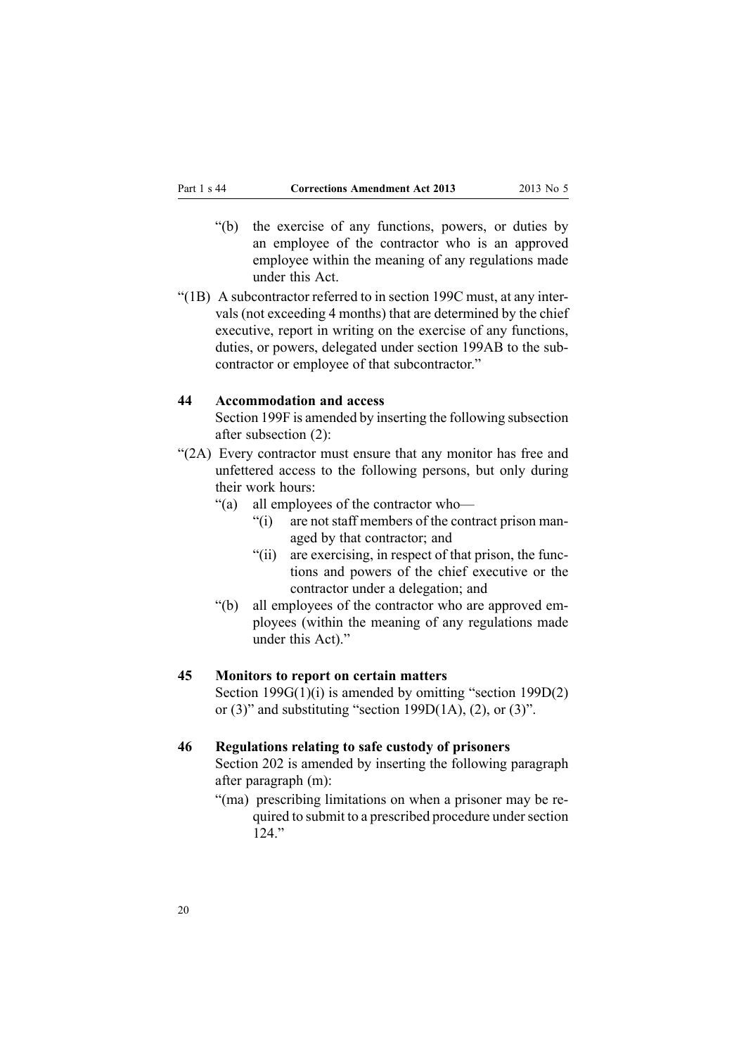- <span id="page-19-0"></span>"(b) the exercise of any functions, powers, or duties by an employee of the contractor who is an approved employee within the meaning of any regulations made under this Act.
- "(1B) A subcontractor referred to in section 199C must, at any intervals (not exceeding 4 months) that are determined by the chief executive, repor<sup>t</sup> in writing on the exercise of any functions, duties, or powers, delegated under section 199AB to the subcontractor or employee of that subcontractor."

#### **44 Accommodation and access**

[Section](http://www.legislation.govt.nz/pdflink.aspx?id=DLM2633817) 199F is amended by inserting the following subsection after subsection (2):

- "(2A) Every contractor must ensure that any monitor has free and unfettered access to the following persons, but only during their work hours:
	- "(a) all employees of the contractor who—
		- "(i) are not staff members of the contract prison managed by that contractor; and
		- "(ii) are exercising, in respec<sup>t</sup> of that prison, the functions and powers of the chief executive or the contractor under <sup>a</sup> delegation; and
	- "(b) all employees of the contractor who are approved employees (within the meaning of any regulations made under this Act)."

### **45 Monitors to report on certain matters**

Section [199G\(1\)\(i\)](http://www.legislation.govt.nz/pdflink.aspx?id=DLM2633818) is amended by omitting "section 199D(2) or  $(3)$ " and substituting "section 199D $(1A)$ ,  $(2)$ , or  $(3)$ ".

#### **46 Regulations relating to safe custody of prisoners**

[Section](http://www.legislation.govt.nz/pdflink.aspx?id=DLM297124) 202 is amended by inserting the following paragraph after paragraph (m):

"(ma) prescribing limitations on when <sup>a</sup> prisoner may be required to submit to a prescribed procedure under section  $124$ "